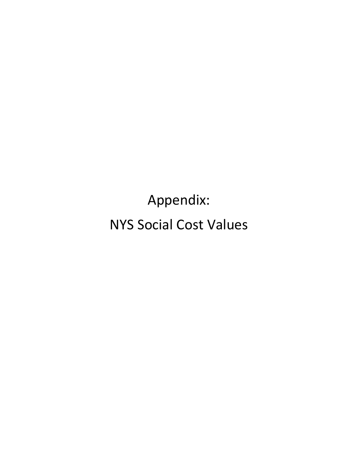Appendix: NYS Social Cost Values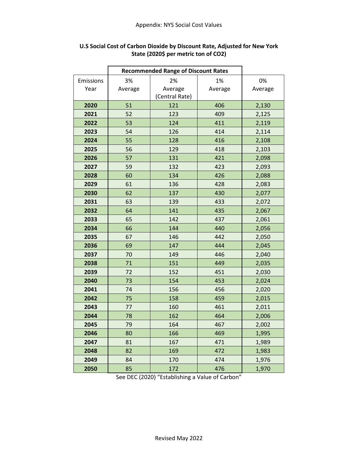|                   | <b>Recommended Range of Discount Rates</b> |                                 |               |               |
|-------------------|--------------------------------------------|---------------------------------|---------------|---------------|
| Emissions<br>Year | 3%<br>Average                              | 2%<br>Average<br>(Central Rate) | 1%<br>Average | 0%<br>Average |
| 2020              | 51                                         | 121                             | 406           | 2,130         |
| 2021              | 52                                         | 123                             | 409           | 2,125         |
| 2022              | 53                                         | 124                             | 411           | 2,119         |
| 2023              | 54                                         | 126                             | 414           | 2,114         |
| 2024              | 55                                         | 128                             | 416           | 2,108         |
| 2025              | 56                                         | 129                             | 418           | 2,103         |
| 2026              | 57                                         | 131                             | 421           | 2,098         |
| 2027              | 59                                         | 132                             | 423           | 2,093         |
| 2028              | 60                                         | 134                             | 426           | 2,088         |
| 2029              | 61                                         | 136                             | 428           | 2,083         |
| 2030              | 62                                         | 137                             | 430           | 2,077         |
| 2031              | 63                                         | 139                             | 433           | 2,072         |
| 2032              | 64                                         | 141                             | 435           | 2,067         |
| 2033              | 65                                         | 142                             | 437           | 2,061         |
| 2034              | 66                                         | 144                             | 440           | 2,056         |
| 2035              | 67                                         | 146                             | 442           | 2,050         |
| 2036              | 69                                         | 147                             | 444           | 2,045         |
| 2037              | 70                                         | 149                             | 446           | 2,040         |
| 2038              | 71                                         | 151                             | 449           | 2,035         |
| 2039              | 72                                         | 152                             | 451           | 2,030         |
| 2040              | 73                                         | 154                             | 453           | 2,024         |
| 2041              | 74                                         | 156                             | 456           | 2,020         |
| 2042              | 75                                         | 158                             | 459           | 2,015         |
| 2043              | 77                                         | 160                             | 461           | 2,011         |
| 2044              | 78                                         | 162                             | 464           | 2,006         |
| 2045              | 79                                         | 164                             | 467           | 2,002         |
| 2046              | 80                                         | 166                             | 469           | 1,995         |
| 2047              | 81                                         | 167                             | 471           | 1,989         |
| 2048              | 82                                         | 169                             | 472           | 1,983         |
| 2049              | 84                                         | 170                             | 474           | 1,976         |
| 2050              | 85                                         | 172                             | 476           | 1,970         |

### **U.S Social Cost of Carbon Dioxide by Discount Rate, Adjusted for New York State (2020\$ per metric ton of CO2)**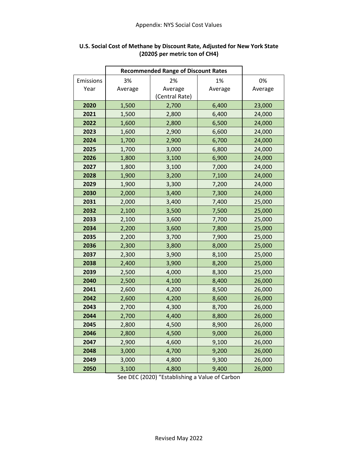|                   | <b>Recommended Range of Discount Rates</b> |                                 |               |               |
|-------------------|--------------------------------------------|---------------------------------|---------------|---------------|
| Emissions<br>Year | 3%<br>Average                              | 2%<br>Average<br>(Central Rate) | 1%<br>Average | 0%<br>Average |
| 2020              | 1,500                                      | 2,700                           | 6,400         | 23,000        |
| 2021              | 1,500                                      | 2,800                           | 6,400         | 24,000        |
| 2022              | 1,600                                      | 2,800                           | 6,500         | 24,000        |
| 2023              | 1,600                                      | 2,900                           | 6,600         | 24,000        |
| 2024              | 1,700                                      | 2,900                           | 6,700         | 24,000        |
| 2025              | 1,700                                      | 3,000                           | 6,800         | 24,000        |
| 2026              | 1,800                                      | 3,100                           | 6,900         | 24,000        |
| 2027              | 1,800                                      | 3,100                           | 7,000         | 24,000        |
| 2028              | 1,900                                      | 3,200                           | 7,100         | 24,000        |
| 2029              | 1,900                                      | 3,300                           | 7,200         | 24,000        |
| 2030              | 2,000                                      | 3,400                           | 7,300         | 24,000        |
| 2031              | 2,000                                      | 3,400                           | 7,400         | 25,000        |
| 2032              | 2,100                                      | 3,500                           | 7,500         | 25,000        |
| 2033              | 2,100                                      | 3,600                           | 7,700         | 25,000        |
| 2034              | 2,200                                      | 3,600                           | 7,800         | 25,000        |
| 2035              | 2,200                                      | 3,700                           | 7,900         | 25,000        |
| 2036              | 2,300                                      | 3,800                           | 8,000         | 25,000        |
| 2037              | 2,300                                      | 3,900                           | 8,100         | 25,000        |
| 2038              | 2,400                                      | 3,900                           | 8,200         | 25,000        |
| 2039              | 2,500                                      | 4,000                           | 8,300         | 25,000        |
| 2040              | 2,500                                      | 4,100                           | 8,400         | 26,000        |
| 2041              | 2,600                                      | 4,200                           | 8,500         | 26,000        |
| 2042              | 2,600                                      | 4,200                           | 8,600         | 26,000        |
| 2043              | 2,700                                      | 4,300                           | 8,700         | 26,000        |
| 2044              | 2,700                                      | 4,400                           | 8,800         | 26,000        |
| 2045              | 2,800                                      | 4,500                           | 8,900         | 26,000        |
| 2046              | 2,800                                      | 4,500                           | 9,000         | 26,000        |
| 2047              | 2,900                                      | 4,600                           | 9,100         | 26,000        |
| 2048              | 3,000                                      | 4,700                           | 9,200         | 26,000        |
| 2049              | 3,000                                      | 4,800                           | 9,300         | 26,000        |
| 2050              | 3,100                                      | 4,800                           | 9,400         | 26,000        |

# **U.S. Social Cost of Methane by Discount Rate, Adjusted for New York State (2020\$ per metric ton of CH4)**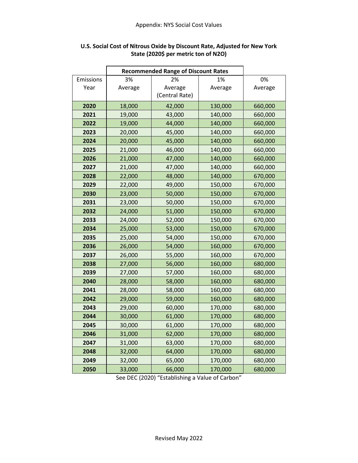|           | <b>Recommended Range of Discount Rates</b> |                |         |         |
|-----------|--------------------------------------------|----------------|---------|---------|
| Emissions | 3%                                         | 2%             | 1%      | 0%      |
| Year      | Average                                    | Average        | Average | Average |
|           |                                            | (Central Rate) |         |         |
| 2020      | 18,000                                     | 42,000         | 130,000 | 660,000 |
| 2021      | 19,000                                     | 43,000         | 140,000 | 660,000 |
| 2022      | 19,000                                     | 44,000         | 140,000 | 660,000 |
| 2023      | 20,000                                     | 45,000         | 140,000 | 660,000 |
| 2024      | 20,000                                     | 45,000         | 140,000 | 660,000 |
| 2025      | 21,000                                     | 46,000         | 140,000 | 660,000 |
| 2026      | 21,000                                     | 47,000         | 140,000 | 660,000 |
| 2027      | 21,000                                     | 47,000         | 140,000 | 660,000 |
| 2028      | 22,000                                     | 48,000         | 140,000 | 670,000 |
| 2029      | 22,000                                     | 49,000         | 150,000 | 670,000 |
| 2030      | 23,000                                     | 50,000         | 150,000 | 670,000 |
| 2031      | 23,000                                     | 50,000         | 150,000 | 670,000 |
| 2032      | 24,000                                     | 51,000         | 150,000 | 670,000 |
| 2033      | 24,000                                     | 52,000         | 150,000 | 670,000 |
| 2034      | 25,000                                     | 53,000         | 150,000 | 670,000 |
| 2035      | 25,000                                     | 54,000         | 150,000 | 670,000 |
| 2036      | 26,000                                     | 54,000         | 160,000 | 670,000 |
| 2037      | 26,000                                     | 55,000         | 160,000 | 670,000 |
| 2038      | 27,000                                     | 56,000         | 160,000 | 680,000 |
| 2039      | 27,000                                     | 57,000         | 160,000 | 680,000 |
| 2040      | 28,000                                     | 58,000         | 160,000 | 680,000 |
| 2041      | 28,000                                     | 58,000         | 160,000 | 680,000 |
| 2042      | 29,000                                     | 59,000         | 160,000 | 680,000 |
| 2043      | 29,000                                     | 60,000         | 170,000 | 680,000 |
| 2044      | 30,000                                     | 61,000         | 170,000 | 680,000 |
| 2045      | 30,000                                     | 61,000         | 170,000 | 680,000 |
| 2046      | 31,000                                     | 62,000         | 170,000 | 680,000 |
| 2047      | 31,000                                     | 63,000         | 170,000 | 680,000 |
| 2048      | 32,000                                     | 64,000         | 170,000 | 680,000 |
| 2049      | 32,000                                     | 65,000         | 170,000 | 680,000 |
| 2050      | 33,000                                     | 66,000         | 170,000 | 680,000 |

# **U.S. Social Cost of Nitrous Oxide by Discount Rate, Adjusted for New York State (2020\$ per metric ton of N2O)**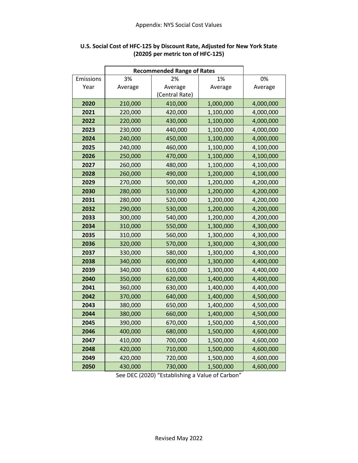|           |         | <b>Recommended Range of Rates</b> |           |           |
|-----------|---------|-----------------------------------|-----------|-----------|
| Emissions | 3%      | 2%                                | 1%        | 0%        |
| Year      | Average | Average                           | Average   | Average   |
|           |         | (Central Rate)                    |           |           |
| 2020      | 210,000 | 410,000                           | 1,000,000 | 4,000,000 |
| 2021      | 220,000 | 420,000                           | 1,100,000 | 4,000,000 |
| 2022      | 220,000 | 430,000                           | 1,100,000 | 4,000,000 |
| 2023      | 230,000 | 440,000                           | 1,100,000 | 4,000,000 |
| 2024      | 240,000 | 450,000                           | 1,100,000 | 4,000,000 |
| 2025      | 240,000 | 460,000                           | 1,100,000 | 4,100,000 |
| 2026      | 250,000 | 470,000                           | 1,100,000 | 4,100,000 |
| 2027      | 260,000 | 480,000                           | 1,100,000 | 4,100,000 |
| 2028      | 260,000 | 490,000                           | 1,200,000 | 4,100,000 |
| 2029      | 270,000 | 500,000                           | 1,200,000 | 4,200,000 |
| 2030      | 280,000 | 510,000                           | 1,200,000 | 4,200,000 |
| 2031      | 280,000 | 520,000                           | 1,200,000 | 4,200,000 |
| 2032      | 290,000 | 530,000                           | 1,200,000 | 4,200,000 |
| 2033      | 300,000 | 540,000                           | 1,200,000 | 4,200,000 |
| 2034      | 310,000 | 550,000                           | 1,300,000 | 4,300,000 |
| 2035      | 310,000 | 560,000                           | 1,300,000 | 4,300,000 |
| 2036      | 320,000 | 570,000                           | 1,300,000 | 4,300,000 |
| 2037      | 330,000 | 580,000                           | 1,300,000 | 4,300,000 |
| 2038      | 340,000 | 600,000                           | 1,300,000 | 4,400,000 |
| 2039      | 340,000 | 610,000                           | 1,300,000 | 4,400,000 |
| 2040      | 350,000 | 620,000                           | 1,400,000 | 4,400,000 |
| 2041      | 360,000 | 630,000                           | 1,400,000 | 4,400,000 |
| 2042      | 370,000 | 640,000                           | 1,400,000 | 4,500,000 |
| 2043      | 380,000 | 650,000                           | 1,400,000 | 4,500,000 |
| 2044      | 380,000 | 660,000                           | 1,400,000 | 4,500,000 |
| 2045      | 390,000 | 670,000                           | 1,500,000 | 4,500,000 |
| 2046      | 400,000 | 680,000                           | 1,500,000 | 4,600,000 |
| 2047      | 410,000 | 700,000                           | 1,500,000 | 4,600,000 |
| 2048      | 420,000 | 710,000                           | 1,500,000 | 4,600,000 |
| 2049      | 420,000 | 720,000                           | 1,500,000 | 4,600,000 |
| 2050      | 430,000 | 730,000                           | 1,500,000 | 4,600,000 |

# **U.S. Social Cost of HFC-125 by Discount Rate, Adjusted for New York State (2020\$ per metric ton of HFC-125)**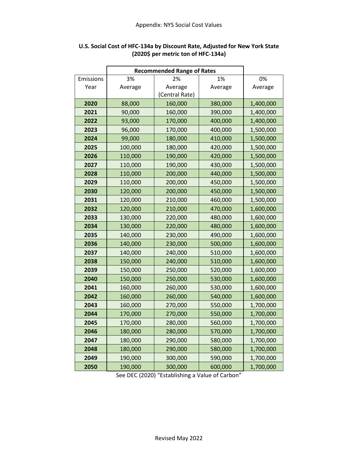|           |         | <b>Recommended Range of Rates</b> |         |           |
|-----------|---------|-----------------------------------|---------|-----------|
| Emissions | 3%      | 2%                                | 1%      | 0%        |
| Year      | Average | Average                           | Average | Average   |
|           |         | (Central Rate)                    |         |           |
| 2020      | 88,000  | 160,000                           | 380,000 | 1,400,000 |
| 2021      | 90,000  | 160,000                           | 390,000 | 1,400,000 |
| 2022      | 93,000  | 170,000                           | 400,000 | 1,400,000 |
| 2023      | 96,000  | 170,000                           | 400,000 | 1,500,000 |
| 2024      | 99,000  | 180,000                           | 410,000 | 1,500,000 |
| 2025      | 100,000 | 180,000                           | 420,000 | 1,500,000 |
| 2026      | 110,000 | 190,000                           | 420,000 | 1,500,000 |
| 2027      | 110,000 | 190,000                           | 430,000 | 1,500,000 |
| 2028      | 110,000 | 200,000                           | 440,000 | 1,500,000 |
| 2029      | 110,000 | 200,000                           | 450,000 | 1,500,000 |
| 2030      | 120,000 | 200,000                           | 450,000 | 1,500,000 |
| 2031      | 120,000 | 210,000                           | 460,000 | 1,500,000 |
| 2032      | 120,000 | 210,000                           | 470,000 | 1,600,000 |
| 2033      | 130,000 | 220,000                           | 480,000 | 1,600,000 |
| 2034      | 130,000 | 220,000                           | 480,000 | 1,600,000 |
| 2035      | 140,000 | 230,000                           | 490,000 | 1,600,000 |
| 2036      | 140,000 | 230,000                           | 500,000 | 1,600,000 |
| 2037      | 140,000 | 240,000                           | 510,000 | 1,600,000 |
| 2038      | 150,000 | 240,000                           | 510,000 | 1,600,000 |
| 2039      | 150,000 | 250,000                           | 520,000 | 1,600,000 |
| 2040      | 150,000 | 250,000                           | 530,000 | 1,600,000 |
| 2041      | 160,000 | 260,000                           | 530,000 | 1,600,000 |
| 2042      | 160,000 | 260,000                           | 540,000 | 1,600,000 |
| 2043      | 160,000 | 270,000                           | 550,000 | 1,700,000 |
| 2044      | 170,000 | 270,000                           | 550,000 | 1,700,000 |
| 2045      | 170,000 | 280,000                           | 560,000 | 1,700,000 |
| 2046      | 180,000 | 280,000                           | 570,000 | 1,700,000 |
| 2047      | 180,000 | 290,000                           | 580,000 | 1,700,000 |
| 2048      | 180,000 | 290,000                           | 580,000 | 1,700,000 |
| 2049      | 190,000 | 300,000                           | 590,000 | 1,700,000 |
| 2050      | 190,000 | 300,000                           | 600,000 | 1,700,000 |

# **U.S. Social Cost of HFC-134a by Discount Rate, Adjusted for New York State (2020\$ per metric ton of HFC-134a)**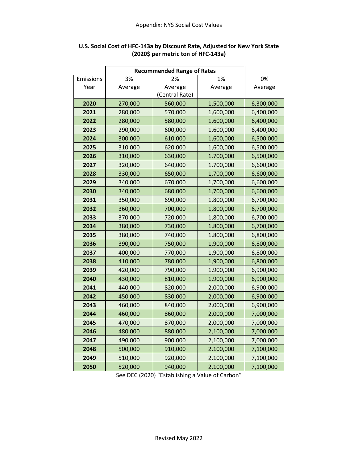|           |         | <b>Recommended Range of Rates</b> |           |           |
|-----------|---------|-----------------------------------|-----------|-----------|
| Emissions | 3%      | 2%                                | 1%        | 0%        |
| Year      | Average | Average                           | Average   | Average   |
|           |         | (Central Rate)                    |           |           |
| 2020      | 270,000 | 560,000                           | 1,500,000 | 6,300,000 |
| 2021      | 280,000 | 570,000                           | 1,600,000 | 6,400,000 |
| 2022      | 280,000 | 580,000                           | 1,600,000 | 6,400,000 |
| 2023      | 290,000 | 600,000                           | 1,600,000 | 6,400,000 |
| 2024      | 300,000 | 610,000                           | 1,600,000 | 6,500,000 |
| 2025      | 310,000 | 620,000                           | 1,600,000 | 6,500,000 |
| 2026      | 310,000 | 630,000                           | 1,700,000 | 6,500,000 |
| 2027      | 320,000 | 640,000                           | 1,700,000 | 6,600,000 |
| 2028      | 330,000 | 650,000                           | 1,700,000 | 6,600,000 |
| 2029      | 340,000 | 670,000                           | 1,700,000 | 6,600,000 |
| 2030      | 340,000 | 680,000                           | 1,700,000 | 6,600,000 |
| 2031      | 350,000 | 690,000                           | 1,800,000 | 6,700,000 |
| 2032      | 360,000 | 700,000                           | 1,800,000 | 6,700,000 |
| 2033      | 370,000 | 720,000                           | 1,800,000 | 6,700,000 |
| 2034      | 380,000 | 730,000                           | 1,800,000 | 6,700,000 |
| 2035      | 380,000 | 740,000                           | 1,800,000 | 6,800,000 |
| 2036      | 390,000 | 750,000                           | 1,900,000 | 6,800,000 |
| 2037      | 400,000 | 770,000                           | 1,900,000 | 6,800,000 |
| 2038      | 410,000 | 780,000                           | 1,900,000 | 6,800,000 |
| 2039      | 420,000 | 790,000                           | 1,900,000 | 6,900,000 |
| 2040      | 430,000 | 810,000                           | 1,900,000 | 6,900,000 |
| 2041      | 440,000 | 820,000                           | 2,000,000 | 6,900,000 |
| 2042      | 450,000 | 830,000                           | 2,000,000 | 6,900,000 |
| 2043      | 460,000 | 840,000                           | 2,000,000 | 6,900,000 |
| 2044      | 460,000 | 860,000                           | 2,000,000 | 7,000,000 |
| 2045      | 470,000 | 870,000                           | 2,000,000 | 7,000,000 |
| 2046      | 480,000 | 880,000                           | 2,100,000 | 7,000,000 |
| 2047      | 490,000 | 900,000                           | 2,100,000 | 7,000,000 |
| 2048      | 500,000 | 910,000                           | 2,100,000 | 7,100,000 |
| 2049      | 510,000 | 920,000                           | 2,100,000 | 7,100,000 |
| 2050      | 520,000 | 940,000                           | 2,100,000 | 7,100,000 |

# **U.S. Social Cost of HFC-143a by Discount Rate, Adjusted for New York State (2020\$ per metric ton of HFC-143a)**

ŕ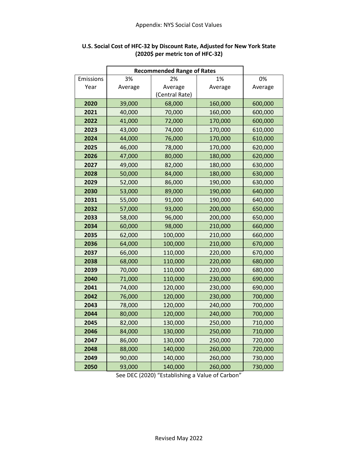|           |         | <b>Recommended Range of Rates</b> |         |         |
|-----------|---------|-----------------------------------|---------|---------|
| Emissions | 3%      | 2%                                | 1%      | 0%      |
| Year      | Average | Average                           | Average | Average |
|           |         | (Central Rate)                    |         |         |
| 2020      | 39,000  | 68,000                            | 160,000 | 600,000 |
| 2021      | 40,000  | 70,000                            | 160,000 | 600,000 |
| 2022      | 41,000  | 72,000                            | 170,000 | 600,000 |
| 2023      | 43,000  | 74,000                            | 170,000 | 610,000 |
| 2024      | 44,000  | 76,000                            | 170,000 | 610,000 |
| 2025      | 46,000  | 78,000                            | 170,000 | 620,000 |
| 2026      | 47,000  | 80,000                            | 180,000 | 620,000 |
| 2027      | 49,000  | 82,000                            | 180,000 | 630,000 |
| 2028      | 50,000  | 84,000                            | 180,000 | 630,000 |
| 2029      | 52,000  | 86,000                            | 190,000 | 630,000 |
| 2030      | 53,000  | 89,000                            | 190,000 | 640,000 |
| 2031      | 55,000  | 91,000                            | 190,000 | 640,000 |
| 2032      | 57,000  | 93,000                            | 200,000 | 650,000 |
| 2033      | 58,000  | 96,000                            | 200,000 | 650,000 |
| 2034      | 60,000  | 98,000                            | 210,000 | 660,000 |
| 2035      | 62,000  | 100,000                           | 210,000 | 660,000 |
| 2036      | 64,000  | 100,000                           | 210,000 | 670,000 |
| 2037      | 66,000  | 110,000                           | 220,000 | 670,000 |
| 2038      | 68,000  | 110,000                           | 220,000 | 680,000 |
| 2039      | 70,000  | 110,000                           | 220,000 | 680,000 |
| 2040      | 71,000  | 110,000                           | 230,000 | 690,000 |
| 2041      | 74,000  | 120,000                           | 230,000 | 690,000 |
| 2042      | 76,000  | 120,000                           | 230,000 | 700,000 |
| 2043      | 78,000  | 120,000                           | 240,000 | 700,000 |
| 2044      | 80,000  | 120,000                           | 240,000 | 700,000 |
| 2045      | 82,000  | 130,000                           | 250,000 | 710,000 |
| 2046      | 84,000  | 130,000                           | 250,000 | 710,000 |
| 2047      | 86,000  | 130,000                           | 250,000 | 720,000 |
| 2048      | 88,000  | 140,000                           | 260,000 | 720,000 |
| 2049      | 90,000  | 140,000                           | 260,000 | 730,000 |
| 2050      | 93,000  | 140,000                           | 260,000 | 730,000 |

## **U.S. Social Cost of HFC-32 by Discount Rate, Adjusted for New York State (2020\$ per metric ton of HFC-32)**

r

 $\overline{\mathbf{r}}$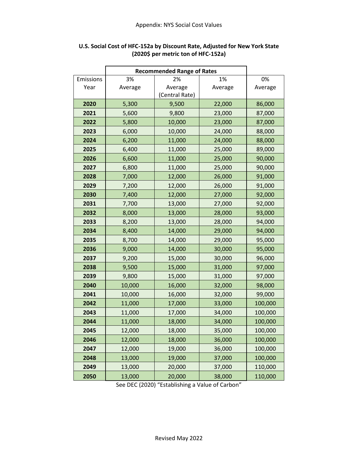|           | <b>Recommended Range of Rates</b> |                |         |         |
|-----------|-----------------------------------|----------------|---------|---------|
| Emissions | 3%                                | 2%             | 1%      | 0%      |
| Year      | Average                           | Average        | Average | Average |
|           |                                   | (Central Rate) |         |         |
| 2020      | 5,300                             | 9,500          | 22,000  | 86,000  |
| 2021      | 5,600                             | 9,800          | 23,000  | 87,000  |
| 2022      | 5,800                             | 10,000         | 23,000  | 87,000  |
| 2023      | 6,000                             | 10,000         | 24,000  | 88,000  |
| 2024      | 6,200                             | 11,000         | 24,000  | 88,000  |
| 2025      | 6,400                             | 11,000         | 25,000  | 89,000  |
| 2026      | 6,600                             | 11,000         | 25,000  | 90,000  |
| 2027      | 6,800                             | 11,000         | 25,000  | 90,000  |
| 2028      | 7,000                             | 12,000         | 26,000  | 91,000  |
| 2029      | 7,200                             | 12,000         | 26,000  | 91,000  |
| 2030      | 7,400                             | 12,000         | 27,000  | 92,000  |
| 2031      | 7,700                             | 13,000         | 27,000  | 92,000  |
| 2032      | 8,000                             | 13,000         | 28,000  | 93,000  |
| 2033      | 8,200                             | 13,000         | 28,000  | 94,000  |
| 2034      | 8,400                             | 14,000         | 29,000  | 94,000  |
| 2035      | 8,700                             | 14,000         | 29,000  | 95,000  |
| 2036      | 9,000                             | 14,000         | 30,000  | 95,000  |
| 2037      | 9,200                             | 15,000         | 30,000  | 96,000  |
| 2038      | 9,500                             | 15,000         | 31,000  | 97,000  |
| 2039      | 9,800                             | 15,000         | 31,000  | 97,000  |
| 2040      | 10,000                            | 16,000         | 32,000  | 98,000  |
| 2041      | 10,000                            | 16,000         | 32,000  | 99,000  |
| 2042      | 11,000                            | 17,000         | 33,000  | 100,000 |
| 2043      | 11,000                            | 17,000         | 34,000  | 100,000 |
| 2044      | 11,000                            | 18,000         | 34,000  | 100,000 |
| 2045      | 12,000                            | 18,000         | 35,000  | 100,000 |
| 2046      | 12,000                            | 18,000         | 36,000  | 100,000 |
| 2047      | 12,000                            | 19,000         | 36,000  | 100,000 |
| 2048      | 13,000                            | 19,000         | 37,000  | 100,000 |
| 2049      | 13,000                            | 20,000         | 37,000  | 110,000 |
| 2050      | 13,000                            | 20,000         | 38,000  | 110,000 |

#### **U.S. Social Cost of HFC-152a by Discount Rate, Adjusted for New York State (2020\$ per metric ton of HFC-152a)**

ř